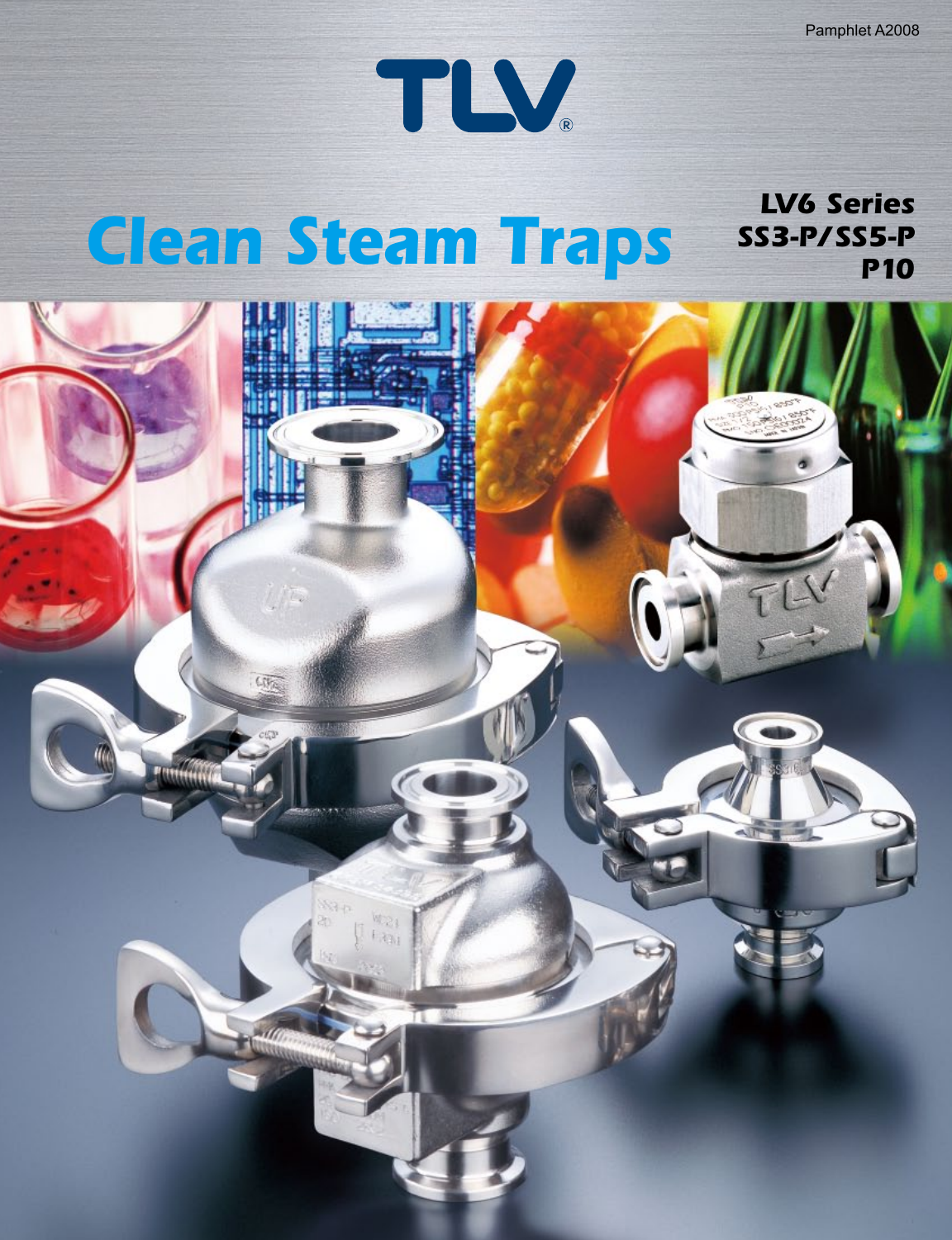

#### *Clean Steam Traps LV6 Series SS3-P/SS5-P P10*

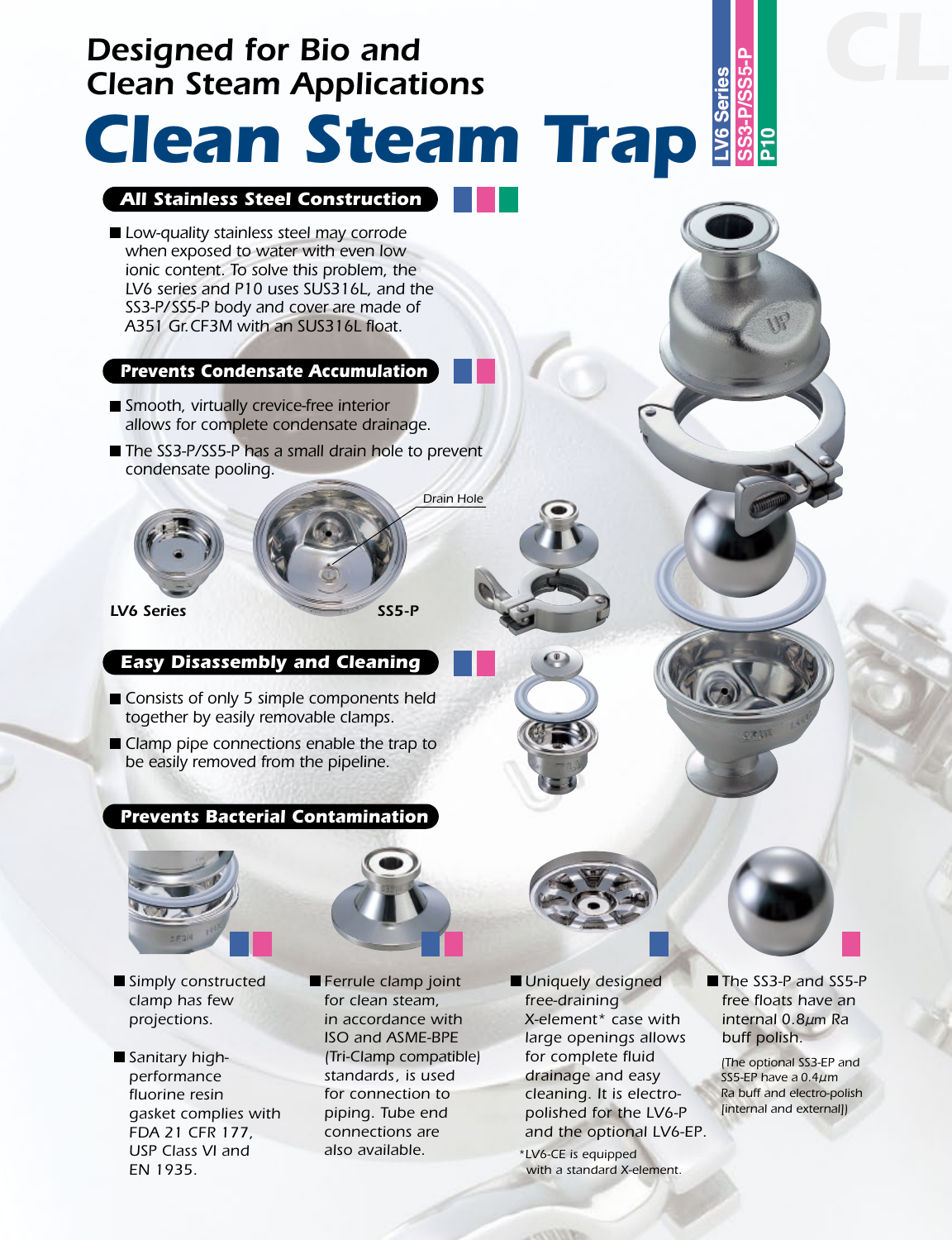# *Designed for Bio and Clean Steam Applications*

# **LV6 Series SS3-P/SS5-P** *Clean Steam Trap*

#### *All Stainless Steel Construction*

*Low-quality stainless steel may corrode when exposed to water with even low ionic content. To solve this problem, the LV6 series and P10 uses SUS316L, and the SS3-P/SS5-P body and cover are made of A351 Gr.CF3M with an SUS316L float.*

#### *Prevents Condensate Accumulation*

- *Smooth, virtually crevice-free interior allows for complete condensate drainage.*
- The SS3-P/SS5-P has a small drain hole to prevent *condensate pooling.*



*Drain Hole*

#### *Easy Disassembly and Cleaning*

- Consists of only 5 simple components held *together by easily removable clamps.*
- Clamp pipe connections enable the trap to *be easily removed from the pipeline.*

#### *Prevents Bacterial Contamination*





- *Simply constructed clamp has few projections.*
- *Sanitary highperformance fluorine resin gasket complies with FDA 21 CFR 177, USP Class VI and EN 1935.*
- *Ferrule clamp joint for clean steam, in accordance with ISO and ASME-BPE (Tri-Clamp compatible) standards, is used for connection to piping. Tube end connections are also available.*
- *Uniquely designed free-draining X-element\* case with large openings allows for complete fluid drainage and easy cleaning. It is electropolished for the LV6-P and the optional LV6-EP.*

*\*LV6-CE is equipped with a standard X-element.* *The SS3-P and SS5-P free floats have an internal 0.8*μ*m Ra buff polish.* 

<u><br>አ</u>

*(The optional SS3-EP and SS5-EP have a 0.4*μ*m Ra buff and electro-polish [internal and external])*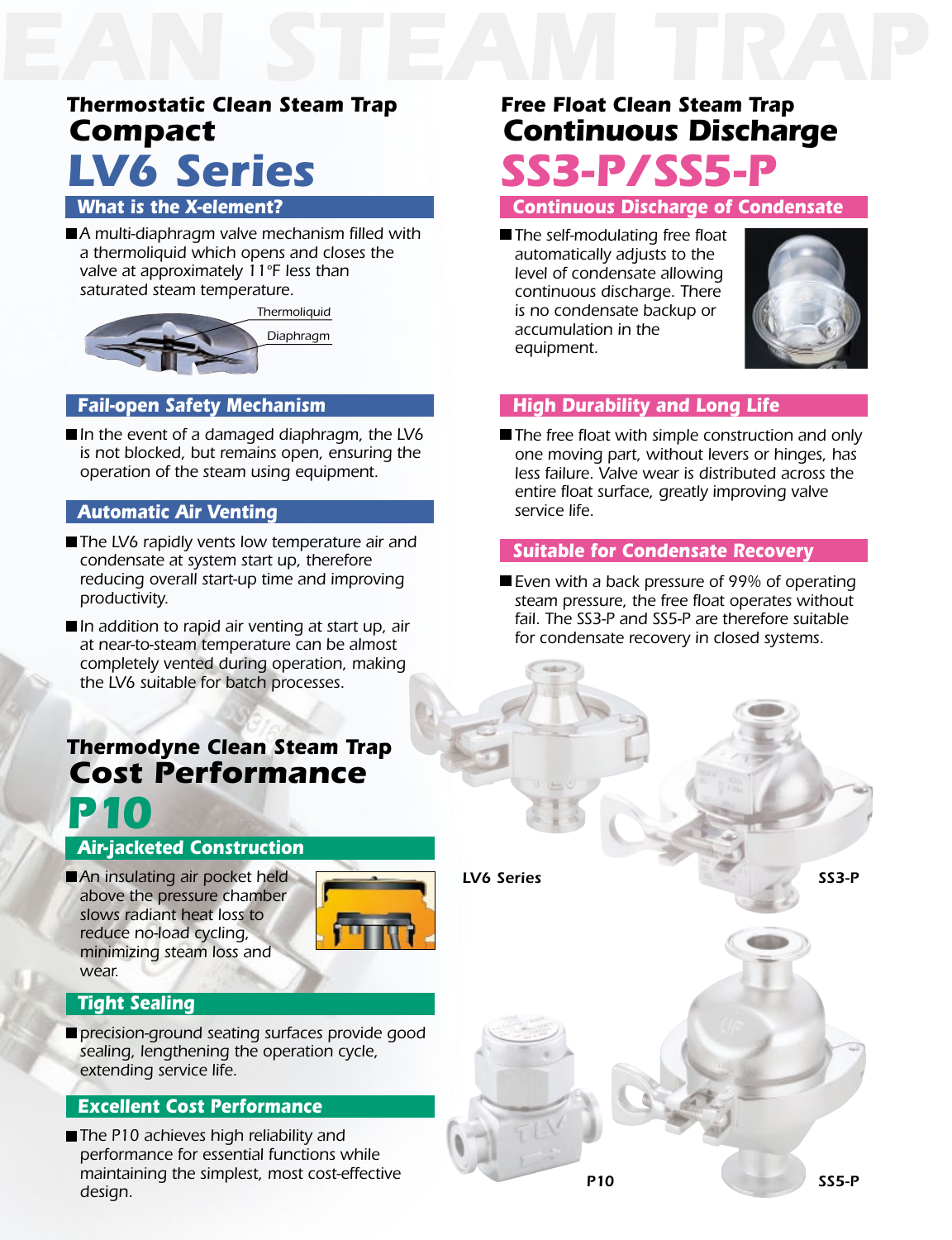## *Compact LV6 Series Thermostatic Clean Steam Trap*

#### *What is the X-element?*

■ A multi-diaphragm valve mechanism filled with *a thermoliquid which opens and closes the valve at approximately 11ºF less than saturated steam temperature.*



#### *Fail-open Safety Mechanism*

■In the event of a damaged diaphragm, the LV6 *is not blocked, but remains open, ensuring the operation of the steam using equipment.*

#### *Automatic Air Venting*

- The LV6 rapidly vents low temperature air and *condensate at system start up, therefore reducing overall start-up time and improving productivity.*
- In addition to rapid air venting at start up, air *at near-to-steam temperature can be almost completely vented during operation, making the LV6 suitable for batch processes.*

### *P10 Cost Performance Thermodyne Clean Steam Trap*

### *Air-jacketed Construction*

*An insulating air pocket held above the pressure chamber slows radiant heat loss to reduce no-load cycling, minimizing steam loss and wear.*



#### *Tight Sealing*

*precision-ground seating surfaces provide good sealing, lengthening the operation cycle, extending service life.*

#### *Excellent Cost Performance*

■ The P10 achieves high reliability and *performance for essential functions while maintaining the simplest, most cost-effective design.*

## *SS3-P/SS5-P Continuous Discharge Free Float Clean Steam Trap*

#### *Continuous Discharge of Condensate*

*The self-modulating free float automatically adjusts to the level of condensate allowing continuous discharge. There is no condensate backup or accumulation in the equipment.*



#### *High Durability and Long Life*

*The free float with simple construction and only one moving part, without levers or hinges, has less failure. Valve wear is distributed across the entire float surface, greatly improving valve service life.*

#### *Suitable for Condensate Recovery*

*Even with a back pressure of 99% of operating steam pressure, the free float operates without fail. The SS3-P and SS5-P are therefore suitable for condensate recovery in closed systems.*

*LV6 Series SS3-P*